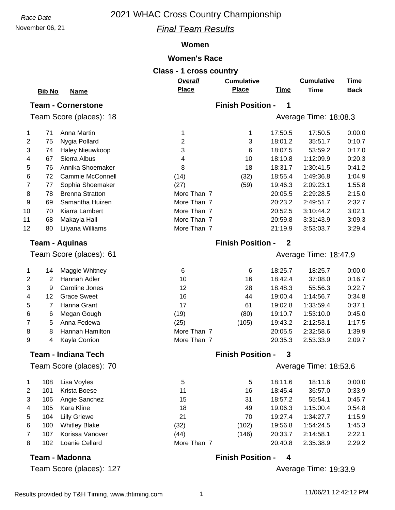### November 06, 21 *Final Team Results*

#### **Women**

#### **Women's Race**

|                |               |                           | <b>Class - 1 cross country</b> |                          |             |                       |             |
|----------------|---------------|---------------------------|--------------------------------|--------------------------|-------------|-----------------------|-------------|
|                |               |                           | <b>Overall</b>                 | <b>Cumulative</b>        |             | <b>Cumulative</b>     | Time        |
|                | <b>Bib No</b> | <u>Name</u>               | <b>Place</b>                   | <b>Place</b>             | <u>Time</u> | Time                  | <b>Back</b> |
|                |               | <b>Team - Cornerstone</b> |                                | <b>Finish Position -</b> | 1           |                       |             |
|                |               | Team Score (places): 18   |                                |                          |             | Average Time: 18:08.3 |             |
| 1              | 71            | Anna Martin               | 1                              | 1                        | 17:50.5     | 17:50.5               | 0:00.0      |
| 2              | 75            | Nygia Pollard             | $\overline{2}$                 | 3                        | 18:01.2     | 35:51.7               | 0:10.7      |
| 3              | 74            | Haley Nieuwkoop           | 3                              | 6                        | 18:07.5     | 53:59.2               | 0:17.0      |
| 4              | 67            | Sierra Albus              | 4                              | 10                       | 18:10.8     | 1:12:09.9             | 0:20.3      |
| 5              | 76            | Annika Shoemaker          | 8                              | 18                       | 18:31.7     | 1:30:41.5             | 0:41.2      |
| 6              | 72            | Cammie McConnell          | (14)                           | (32)                     | 18:55.4     | 1:49:36.8             | 1:04.9      |
| $\overline{7}$ | 77            | Sophia Shoemaker          | (27)                           | (59)                     | 19:46.3     | 2:09:23.1             | 1:55.8      |
| 8              | 78            | <b>Brenna Stratton</b>    | More Than 7                    |                          | 20:05.5     | 2:29:28.5             | 2:15.0      |
| 9              | 69            | Samantha Huizen           | More Than 7                    |                          | 20:23.2     | 2:49:51.7             | 2:32.7      |
| 10             | 70            | Kiarra Lambert            | More Than 7                    |                          | 20:52.5     | 3:10:44.2             | 3:02.1      |
| 11             | 68            | Makayla Hall              | More Than 7                    |                          | 20:59.8     | 3:31:43.9             | 3:09.3      |
| 12             | 80            | Lilyana Williams          | More Than 7                    |                          | 21:19.9     | 3:53:03.7             | 3:29.4      |
|                |               | <b>Team - Aquinas</b>     |                                | <b>Finish Position -</b> | $\mathbf 2$ |                       |             |

61 Team Score (places): Average Time: 18:47.9

| 1.             | 14 | Maggie Whitney     | 6           | 6     | 18:25.7 | 18:25.7   | 0:00.0 |
|----------------|----|--------------------|-------------|-------|---------|-----------|--------|
| $\overline{2}$ |    | Hannah Adler       | 10          | 16    | 18:42.4 | 37:08.0   | 0:16.7 |
| 3              | 9  | Caroline Jones     | 12          | 28    | 18:48.3 | 55:56.3   | 0:22.7 |
| 4              | 12 | <b>Grace Sweet</b> | 16          | 44    | 19:00.4 | 1:14:56.7 | 0:34.8 |
| 5              |    | Hanna Grant        | 17          | 61    | 19:02.8 | 1:33:59.4 | 0:37.1 |
| 6.             | 6  | Megan Gough        | (19)        | (80)  | 19:10.7 | 1:53:10.0 | 0:45.0 |
| 7              | 5  | Anna Fedewa        | (25)        | (105) | 19:43.2 | 2:12:53.1 | 1:17.5 |
| 8              | 8  | Hannah Hamilton    | More Than 7 |       | 20:05.5 | 2:32:58.6 | 1:39.9 |
| 9              | 4  | Kayla Corrion      | More Than 7 |       | 20:35.3 | 2:53:33.9 | 2:09.7 |
|                |    |                    |             |       |         |           |        |

#### **Team - Indiana Tech**

70 Team Score (places): Average Time: 18:53.6

| 1 | 108 | Lisa Voyles          |
|---|-----|----------------------|
| 2 | 101 | Krista Boese         |
| 3 | 106 | Angie Sanchez        |
| 4 | 105 | Kara Kline           |
| 5 | 104 | <b>Lilly Griewe</b>  |
| 6 | 100 | <b>Whitley Blake</b> |
| 7 | 107 | Korissa Vanover      |
| 8 | 102 | Loanie Cellard       |

#### **Team - Madonna**

127 Team Score (places): Average Time: 19:33.9

**Finish Position - 3**

|    | 108 | Lisa Voyles          | 5           | 5     | 18:11.6 | 18:11.6   | 0:00.0 |
|----|-----|----------------------|-------------|-------|---------|-----------|--------|
| 2  | 101 | Krista Boese         | 11          | 16    | 18:45.4 | 36:57.0   | 0:33.9 |
| 3. | 106 | Angie Sanchez        | 15          | 31    | 18:57.2 | 55:54.1   | 0:45.7 |
| 4  | 105 | Kara Kline           | 18          | 49    | 19:06.3 | 1:15:00.4 | 0:54.8 |
| 5  | 104 | <b>Lilly Griewe</b>  | 21          | 70    | 19:27.4 | 1:34:27.7 | 1:15.9 |
| 6. | 100 | <b>Whitley Blake</b> | (32)        | (102) | 19:56.8 | 1:54:24.5 | 1:45.3 |
|    | 107 | Korissa Vanover      | (44)        | (146) | 20:33.7 | 2:14:58.1 | 2:22.1 |
| 8  | 102 | Loanie Cellard       | More Than 7 |       | 20:40.8 | 2:35:38.9 | 2:29.2 |

#### **Finish Position - 4**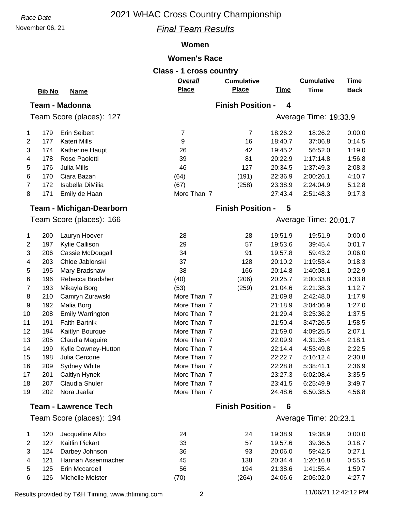## November 06, 21 *Final Team Results*

#### **Women**

#### **Women's Race**

|    |               |                                 | <b>Class - 1 cross country</b> |                                   |                         |                                  |                            |
|----|---------------|---------------------------------|--------------------------------|-----------------------------------|-------------------------|----------------------------------|----------------------------|
|    | <b>Bib No</b> | <b>Name</b>                     | Overall<br><b>Place</b>        | <b>Cumulative</b><br><b>Place</b> | <b>Time</b>             | <b>Cumulative</b><br><b>Time</b> | <b>Time</b><br><b>Back</b> |
|    |               |                                 |                                |                                   |                         |                                  |                            |
|    |               | <b>Team - Madonna</b>           |                                | <b>Finish Position -</b>          | $\overline{\mathbf{4}}$ |                                  |                            |
|    |               | Team Score (places): 127        |                                |                                   |                         | Average Time: 19:33.9            |                            |
| 1  | 179           | <b>Erin Seibert</b>             | $\overline{7}$                 | $\overline{7}$                    | 18:26.2                 | 18:26.2                          | 0:00.0                     |
| 2  | 177           | <b>Kateri Mills</b>             | 9                              | 16                                | 18:40.7                 | 37:06.8                          | 0:14.5                     |
| 3  | 174           | Katherine Haupt                 | 26                             | 42                                | 19:45.2                 | 56:52.0                          | 1:19.0                     |
| 4  | 178           | Rose Paoletti                   | 39                             | 81                                | 20:22.9                 | 1:17:14.8                        | 1:56.8                     |
| 5  | 176           | Julia Mills                     | 46                             | 127                               | 20:34.5                 | 1:37:49.3                        | 2:08.3                     |
| 6  | 170           | Ciara Bazan                     | (64)                           | (191)                             | 22:36.9                 | 2:00:26.1                        | 4:10.7                     |
| 7  | 172           | Isabella DiMilia                | (67)                           | (258)                             | 23:38.9                 | 2:24:04.9                        | 5:12.8                     |
| 8  | 171           | Emily de Haan                   | More Than 7                    |                                   | 27:43.4                 | 2:51:48.3                        | 9:17.3                     |
|    |               | <b>Team - Michigan-Dearborn</b> |                                | <b>Finish Position -</b>          | 5                       |                                  |                            |
|    |               | Team Score (places): 166        |                                |                                   |                         | Average Time: 20:01.7            |                            |
| 1  | 200           | Lauryn Hoover                   | 28                             | 28                                | 19:51.9                 | 19:51.9                          | 0:00.0                     |
| 2  | 197           | Kylie Callison                  | 29                             | 57                                | 19:53.6                 | 39:45.4                          | 0:01.7                     |
| 3  | 206           | Cassie McDougall                | 34                             | 91                                | 19:57.8                 | 59:43.2                          | 0:06.0                     |
| 4  | 203           | Chloe Jablonski                 | 37                             | 128                               | 20:10.2                 | 1:19:53.4                        | 0:18.3                     |
| 5  | 195           | Mary Bradshaw                   | 38                             | 166                               | 20:14.8                 | 1:40:08.1                        | 0:22.9                     |
| 6  | 196           | Rebecca Bradsher                | (40)                           | (206)                             | 20:25.7                 | 2:00:33.8                        | 0:33.8                     |
| 7  | 193           | Mikayla Borg                    | (53)                           | (259)                             | 21:04.6                 | 2:21:38.3                        | 1:12.7                     |
| 8  | 210           | Camryn Zurawski                 | More Than 7                    |                                   | 21:09.8                 | 2:42:48.0                        | 1:17.9                     |
| 9  | 192           | Malia Borg                      | More Than 7                    |                                   | 21:18.9                 | 3:04:06.9                        | 1:27.0                     |
| 10 | 208           | <b>Emily Warrington</b>         | More Than 7                    |                                   | 21:29.4                 | 3:25:36.2                        | 1:37.5                     |
| 11 | 191           | <b>Faith Bartnik</b>            | More Than 7                    |                                   | 21:50.4                 | 3:47:26.5                        | 1:58.5                     |
| 12 | 194           | Kaitlyn Bourque                 | More Than 7                    |                                   | 21:59.0                 | 4:09:25.5                        | 2:07.1                     |
| 13 | 205           | Claudia Maguire                 | More Than 7                    |                                   | 22:09.9                 | 4:31:35.4                        | 2:18.1                     |
| 14 | 199           | Kylie Downey-Hutton             | More Than 7                    |                                   | 22:14.4                 | 4:53:49.8                        | 2:22.5                     |
| 15 | 198           | Julia Cercone                   | More Than 7                    |                                   | 22:22.7                 | 5:16:12.4                        | 2:30.8                     |
| 16 | 209           | Sydney White                    | More Than 7                    |                                   | 22:28.8                 | 5:38:41.1                        | 2:36.9                     |
| 17 | 201           | Caitlyn Hynek                   | More Than 7                    |                                   | 23:27.3                 | 6:02:08.4                        | 3:35.5                     |
| 18 | 207           | Claudia Shuler                  | More Than 7                    |                                   | 23:41.5                 | 6:25:49.9                        | 3:49.7                     |
| 19 | 202           | Nora Jaafar                     | More Than 7                    |                                   | 24:48.6                 | 6:50:38.5                        | 4:56.8                     |
|    |               | <b>Team - Lawrence Tech</b>     |                                | <b>Finish Position -</b>          | 6                       |                                  |                            |
|    |               | Team Score (places): 194        |                                |                                   |                         | Average Time: 20:23.1            |                            |
| 1  | 120           | Jacqueline Albo                 | 24                             | 24                                | 19:38.9                 | 19:38.9                          | 0:00.0                     |
| 2  | 127           | Kaitlin Pickart                 | 33                             | 57                                | 19:57.6                 | 39:36.5                          | 0:18.7                     |
| 3  | 124           | Darbey Johnson                  | 36                             | 93                                | 20:06.0                 | 59:42.5                          | 0:27.1                     |
| 4  | 121           | Hannah Assenmacher              | 45                             | 138                               | 20:34.4                 | 1:20:16.8                        | 0:55.5                     |
| 5  | 125           | Erin Mccardell                  | 56                             | 194                               | 21:38.6                 | 1:41:55.4                        | 1:59.7                     |
|    |               |                                 |                                |                                   |                         |                                  |                            |

Results provided by T&H Timing, www.thtiming.com 2 11/06/21 12:42:12 PM

126 Michelle Meister (70) (264) 24:06.6 2:06:02.0 4:27.7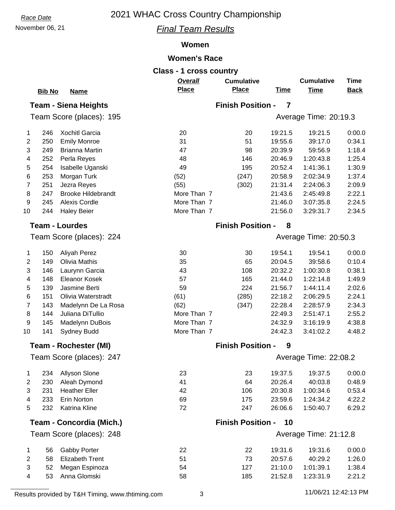# November 06, 21 *Final Team Results*

## **Women**

# **Women's Race**

|                |               |                              | <b>Class - 1 cross country</b> |                          |                |                       |             |
|----------------|---------------|------------------------------|--------------------------------|--------------------------|----------------|-----------------------|-------------|
|                |               |                              | Overall                        | <b>Cumulative</b>        |                | <b>Cumulative</b>     | <b>Time</b> |
|                | <b>Bib No</b> | <b>Name</b>                  | <b>Place</b>                   | <b>Place</b>             | <b>Time</b>    | <b>Time</b>           | <b>Back</b> |
|                |               | <b>Team - Siena Heights</b>  |                                | <b>Finish Position -</b> | $\overline{7}$ |                       |             |
|                |               | Team Score (places): 195     |                                |                          |                | Average Time: 20:19.3 |             |
|                |               |                              |                                |                          |                |                       |             |
| 1              | 246           | <b>Xochitl Garcia</b>        | 20                             | 20                       | 19:21.5        | 19:21.5               | 0:00.0      |
| $\overline{2}$ | 250           | <b>Emily Monroe</b>          | 31                             | 51                       | 19:55.6        | 39:17.0               | 0:34.1      |
| 3              | 249           | <b>Brianna Martin</b>        | 47                             | 98                       | 20:39.9        | 59:56.9               | 1:18.4      |
| 4              | 252           | Perla Reyes                  | 48                             | 146                      | 20:46.9        | 1:20:43.8             | 1:25.4      |
| 5              | 254           | Isabelle Uganski             | 49                             | 195                      | 20:52.4        | 1:41:36.1             | 1:30.9      |
| 6              | 253           | Morgan Turk                  | (52)                           | (247)                    | 20:58.9        | 2:02:34.9             | 1:37.4      |
| $\overline{7}$ | 251           | Jezra Reyes                  | (55)                           | (302)                    | 21:31.4        | 2:24:06.3             | 2:09.9      |
| 8              | 247           | <b>Brooke Hildebrandt</b>    | More Than 7                    |                          | 21:43.6        | 2:45:49.8             | 2:22.1      |
| 9              | 245           | Alexis Cordle                | More Than 7                    |                          | 21:46.0        | 3:07:35.8             | 2:24.5      |
| 10             | 244           | <b>Haley Beier</b>           | More Than 7                    |                          | 21:56.0        | 3:29:31.7             | 2:34.5      |
|                |               | <b>Team - Lourdes</b>        |                                | <b>Finish Position -</b> | 8              |                       |             |
|                |               | Team Score (places): 224     |                                |                          |                | Average Time: 20:50.3 |             |
|                |               |                              |                                |                          |                |                       |             |
| 1              | 150           | <b>Aliyah Perez</b>          | 30                             | 30                       | 19:54.1        | 19:54.1               | 0:00.0      |
| $\overline{2}$ | 149           | <b>Olivia Mathis</b>         | 35                             | 65                       | 20:04.5        | 39:58.6               | 0:10.4      |
| 3              | 146           | Laurynn Garcia               | 43                             | 108                      | 20:32.2        | 1:00:30.8             | 0:38.1      |
| 4              | 148           | <b>Eleanor Kosek</b>         | 57                             | 165                      | 21:44.0        | 1:22:14.8             | 1:49.9      |
| 5              | 139           | Jasmine Berti                | 59                             | 224                      | 21:56.7        | 1:44:11.4             | 2:02.6      |
| 6              | 151           | Olivia Waterstradt           | (61)                           | (285)                    | 22:18.2        | 2:06:29.5             | 2:24.1      |
| $\overline{7}$ | 143           | Madelynn De La Rosa          | (62)                           | (347)                    | 22:28.4        | 2:28:57.9             | 2:34.3      |
| 8              | 144           | Juliana DiTullio             | More Than 7                    |                          | 22:49.3        | 2:51:47.1             | 2:55.2      |
| 9              | 145           | Madelynn DuBois              | More Than 7                    |                          | 24:32.9        | 3:16:19.9             | 4:38.8      |
| 10             | 141           | Sydney Budd                  | More Than 7                    |                          | 24:42.3        | 3:41:02.2             | 4:48.2      |
|                |               | <b>Team - Rochester (MI)</b> |                                | <b>Finish Position -</b> | 9              |                       |             |
|                |               | Team Score (places): 247     |                                |                          |                | Average Time: 22:08.2 |             |
|                |               |                              |                                |                          |                |                       |             |
| 1              | 234           | Allyson Slone                | 23                             | 23                       | 19:37.5        | 19:37.5               | 0:00.0      |
| $\overline{c}$ | 230           | Aleah Dymond                 | 41                             | 64                       | 20:26.4        | 40:03.8               | 0.48.9      |
| 3              | 231           | <b>Heather Eller</b>         | 42                             | 106                      | 20:30.8        | 1:00:34.6             | 0:53.4      |
| 4              | 233           | Erin Norton                  | 69                             | 175                      | 23:59.6        | 1:24:34.2             | 4:22.2      |
| 5              | 232           | Katrina Kline                | 72                             | 247                      | 26:06.6        | 1:50:40.7             | 6:29.2      |
|                |               | Team - Concordia (Mich.)     |                                | <b>Finish Position -</b> | 10             |                       |             |
|                |               | Team Score (places): 248     |                                |                          |                | Average Time: 21:12.8 |             |
| 1              | 56            | Gabby Porter                 | 22                             | 22                       | 19:31.6        | 19:31.6               | 0:00.0      |
| $\overline{2}$ | 58            | <b>Elizabeth Trent</b>       | 51                             | 73                       | 20:57.6        | 40:29.2               | 1:26.0      |
| 3              | 52            | Megan Espinoza               | 54                             | 127                      | 21:10.0        | 1:01:39.1             | 1:38.4      |
| 4              | 53            | Anna Glomski                 | 58                             | 185                      | 21:52.8        | 1:23:31.9             | 2:21.2      |
|                |               |                              |                                |                          |                |                       |             |

Results provided by T&H Timing, www.thtiming.com 3 11/06/21 12:42:13 PM